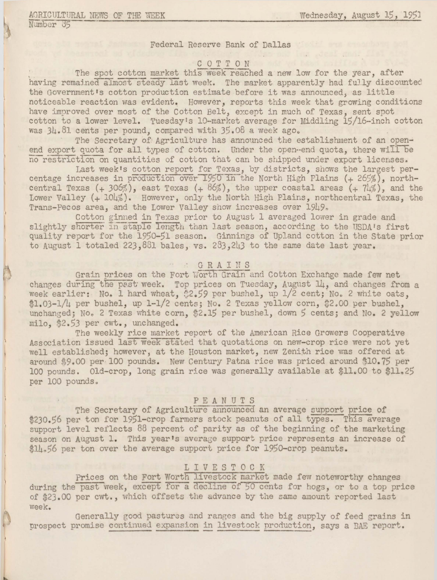Number 35

Federal Reserve Bank of Dallas

# COTTON

The spot cotton market this week reached a new low for the year, after having remained almost steady last week. The market apparently had fully discounted the Government's cotton production estimate before it was announced. as little noticeable reaction was evident. However, reports this week that growing conditions have improved over most of the Cotton Belt. except in much of Texas. sent spot cotton to a lower level. Tuesday's 10-market average for Middling 15/16-inch cotton was 34.81 cents per pound, compared with 35.08 a week ago.

The Secretary of Agriculture has announced the establishment of an openend export quota for all types of cotton. Under the open-end quota, there will be no restriction on quantities of cotton that can be shipped under export licenses.

Last week's cotton report for Texas, by districts, shows the largest percentage increases in production over 1950 in the North High Plains (+ 265%), northcentral Texas (+ 306%), east Texas (+ 86%), the upper coastal areas (+ 74%), and the Lower Valley (+ 104%). However, only the North High Plains, northcentral Texas, the Trans-Pecos area, and the Lower Valley show increases over 1949,

Cotton ginned in Texas prior to August 1 averaged lower in grade and slightly shorter in staple length than last season, according to the USDA's first quality report for the 1950-51 season. Ginnings of Upland cotton in the State prior to August 1 totaled 223, 881 bales, vs. 283, 243 to the same date last year.

### " GRAINS

Grain prices on the Fort Worth Grain and Cotton Exchange made few net changes during the past week. Top prices on Tuesday, August 14, and changes from a week earlier: No. 1 hard wheat, \$2.59 per bushel, up 1/2 cent; No. 2 white oats. \$1.03-1/4 per bushel. up 1-1/2 cents: No. 2 Texas yellow corn. \$2.00 per bushel. unchanged; No. 2 Texas white corn. \$2.15 per bushel. down 5 cents; and No. 2 yellow milo. \$2.53 per cwt., unchanged.

The weekly rice market report of the American Rice Growers Cooperative Association issued last week stated that quotations on new-crop rice were not yet well established; however, at the Houston market, new Zenith rice was offered at around \$9.00 per 100 pounds. New Century Patna rice was priced around \$10.75 per 100 pounds. Old-crop, long grain rice was generally available at \$11.00 to \$11.25 per 100 pounds.

### PEANUTS

The Secretary of Agriculture announced an average support price of \$230.56 per ton for 1951-crop farmers stock peanuts of all types. This average support level reflects 88 percent of parity as of the beginning of the marketing season on August 1. This year's average support price represents an increase of \$14.56 per ton over the average support price for 1950-crop peanuts.

### LIVESTOCK

Prices on the Fort Worth livestock market made few noteworthy changes during the past week, except for a decline of 50 cents for hogs, or to a top price of \$23.00 per cwt., which offsets the advance by the same amount reported last week.

Generally good pastures and ranges and the big supply of feed grains in prospect promise continued expansion in livestock production. says a BAE report.